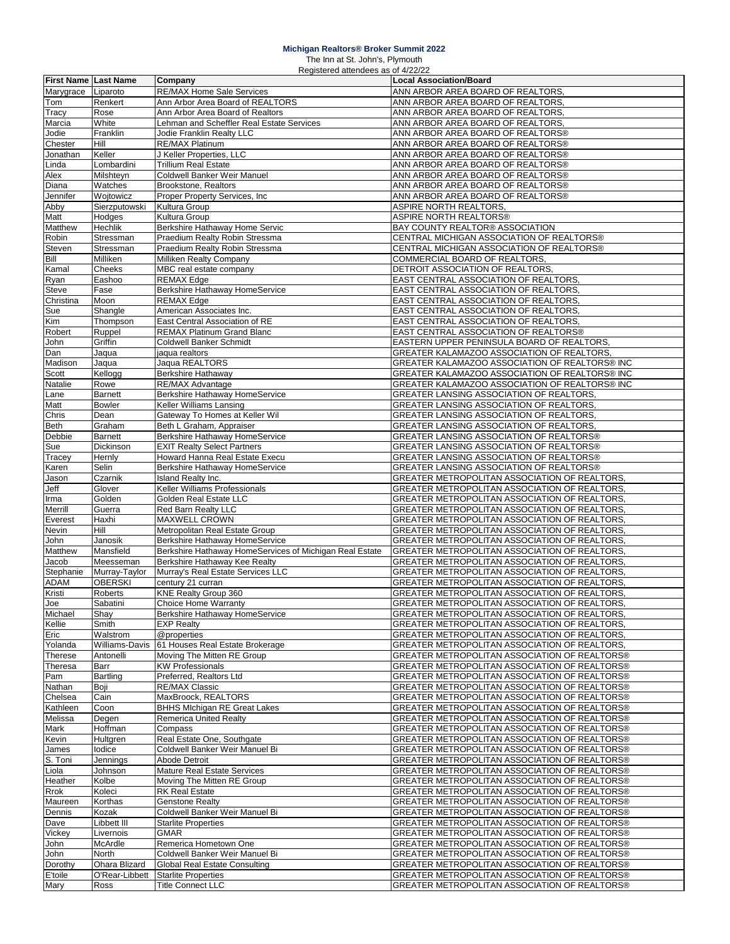## **Michigan Realtors® Broker Summit 2022**

The Inn at St. John's, Plymouth

|                             |                | Registered attendees as of 4/22/22                      |                                                |
|-----------------------------|----------------|---------------------------------------------------------|------------------------------------------------|
| <b>First Name Last Name</b> |                | Company                                                 | <b>Local Association/Board</b>                 |
| Marygrace                   | Liparoto       | <b>RE/MAX Home Sale Services</b>                        | ANN ARBOR AREA BOARD OF REALTORS,              |
| Tom                         | Renkert        | Ann Arbor Area Board of REALTORS                        | ANN ARBOR AREA BOARD OF REALTORS,              |
| Tracy                       | Rose           | Ann Arbor Area Board of Realtors                        | ANN ARBOR AREA BOARD OF REALTORS.              |
| Marcia                      | White          | Lehman and Scheffler Real Estate Services               | ANN ARBOR AREA BOARD OF REALTORS,              |
| Jodie                       | Franklin       | Jodie Franklin Realty LLC                               | ANN ARBOR AREA BOARD OF REALTORS®              |
| Chester                     | Hill           | RE/MAX Platinum                                         | ANN ARBOR AREA BOARD OF REALTORS®              |
| Jonathan                    | Keller         | J Keller Properties, LLC                                | ANN ARBOR AREA BOARD OF REALTORS®              |
|                             |                | <b>Trillium Real Estate</b>                             |                                                |
| Linda                       | Lombardini     |                                                         | ANN ARBOR AREA BOARD OF REALTORS®              |
| Alex                        | Milshteyn      | Coldwell Banker Weir Manuel                             | ANN ARBOR AREA BOARD OF REALTORS®              |
| Diana                       | Watches        | Brookstone, Realtors                                    | ANN ARBOR AREA BOARD OF REALTORS®              |
| Jennifer                    | Wojtowicz      | Proper Property Services, Inc.                          | ANN ARBOR AREA BOARD OF REALTORS®              |
| Abby                        | Sierzputowski  | Kultura Group                                           | ASPIRE NORTH REALTORS,                         |
| Matt                        | Hodges         | Kultura Group                                           | ASPIRE NORTH REALTORS®                         |
| Matthew                     | Hechlik        | Berkshire Hathaway Home Servic                          | BAY COUNTY REALTOR® ASSOCIATION                |
| Robin                       | Stressman      | Praedium Realty Robin Stressma                          | CENTRAL MICHIGAN ASSOCIATION OF REALTORS®      |
| Steven                      | Stressman      | Praedium Realty Robin Stressma                          | CENTRAL MICHIGAN ASSOCIATION OF REALTORS®      |
| Bill                        | Milliken       | Milliken Realty Company                                 | COMMERCIAL BOARD OF REALTORS,                  |
| Kamal                       | Cheeks         | MBC real estate company                                 | DETROIT ASSOCIATION OF REALTORS                |
| Ryan                        | Eashoo         | REMAX Edge                                              | EAST CENTRAL ASSOCIATION OF REALTORS,          |
|                             |                |                                                         |                                                |
| Steve                       | Fase           | Berkshire Hathaway HomeService                          | EAST CENTRAL ASSOCIATION OF REALTORS,          |
| Christina                   | Moon           | <b>REMAX Edge</b>                                       | EAST CENTRAL ASSOCIATION OF REALTORS,          |
| Sue                         | Shangle        | American Associates Inc.                                | EAST CENTRAL ASSOCIATION OF REALTORS.          |
| Kim                         | Thompson       | East Central Association of RE                          | EAST CENTRAL ASSOCIATION OF REALTORS,          |
| Robert                      | Ruppel         | <b>REMAX Platinum Grand Blanc</b>                       | EAST CENTRAL ASSOCIATION OF REALTORS®          |
| John                        | Griffin        | Coldwell Banker Schmidt                                 | EASTERN UPPER PENINSULA BOARD OF REALTORS,     |
| Dan                         | Jaqua          | jaqua realtors                                          | GREATER KALAMAZOO ASSOCIATION OF REALTORS,     |
| Madison                     | Jaqua          | Jaqua REALTORS                                          | GREATER KALAMAZOO ASSOCIATION OF REALTORS® INC |
| Scott                       | Kellogg        | Berkshire Hathaway                                      | GREATER KALAMAZOO ASSOCIATION OF REALTORS® INC |
| Natalie                     | Rowe           | RE/MAX Advantage                                        | GREATER KALAMAZOO ASSOCIATION OF REALTORS® INC |
| Lane                        | Barnett        | Berkshire Hathaway HomeService                          | GREATER LANSING ASSOCIATION OF REALTORS.       |
| Matt                        | <b>Bowler</b>  | Keller Williams Lansing                                 | GREATER LANSING ASSOCIATION OF REALTORS.       |
|                             | Dean           | Gateway To Homes at Keller Wil                          | GREATER LANSING ASSOCIATION OF REALTORS,       |
| Chris                       |                |                                                         |                                                |
| <b>Beth</b>                 | Graham         | Beth L Graham, Appraiser                                | GREATER LANSING ASSOCIATION OF REALTORS.       |
| Debbie                      | <b>Barnett</b> | Berkshire Hathaway HomeService                          | GREATER LANSING ASSOCIATION OF REALTORS®       |
| Sue                         | Dickinson      | <b>EXIT Realty Select Partners</b>                      | GREATER LANSING ASSOCIATION OF REALTORS®       |
| Tracey                      | Hernly         | Howard Hanna Real Estate Execu                          | GREATER LANSING ASSOCIATION OF REALTORS®       |
| Karen                       | Selin          | Berkshire Hathaway HomeService                          | GREATER LANSING ASSOCIATION OF REALTORS®       |
| Jason                       | Czarnik        | Island Realty Inc.                                      | GREATER METROPOLITAN ASSOCIATION OF REALTORS,  |
| Jeff                        | Glover         | Keller Williams Professionals                           | GREATER METROPOLITAN ASSOCIATION OF REALTORS,  |
| Irma                        | Golden         | Golden Real Estate LLC                                  | GREATER METROPOLITAN ASSOCIATION OF REALTORS,  |
| Merrill                     | Guerra         | Red Barn Realty LLC                                     | GREATER METROPOLITAN ASSOCIATION OF REALTORS,  |
| Everest                     | Haxhi          | <b>MAXWELL CROWN</b>                                    | GREATER METROPOLITAN ASSOCIATION OF REALTORS.  |
| Nevin                       | Hill           | Metropolitan Real Estate Group                          | GREATER METROPOLITAN ASSOCIATION OF REALTORS.  |
|                             |                |                                                         |                                                |
| John                        | Janosik        | Berkshire Hathaway HomeService                          | GREATER METROPOLITAN ASSOCIATION OF REALTORS.  |
| Matthew                     | Mansfield      | Berkshire Hathaway HomeServices of Michigan Real Estate | GREATER METROPOLITAN ASSOCIATION OF REALTORS.  |
| Jacob                       | Meesseman      | Berkshire Hathaway Kee Realty                           | GREATER METROPOLITAN ASSOCIATION OF REALTORS.  |
| Stephanie                   | Murray-Taylor  | Murray's Real Estate Services LLC                       | GREATER METROPOLITAN ASSOCIATION OF REALTORS.  |
| ADAM                        | <b>OBERSKI</b> | century 21 curran                                       | GREATER METROPOLITAN ASSOCIATION OF REALTORS,  |
| Kristi                      | Roberts        | KNE Realty Group 360                                    | GREATER METROPOLITAN ASSOCIATION OF REALTORS.  |
| JOG                         | Sabatini       | Choice Home warranty                                    | GREATER METROPOLITAN ASSOCIATION OF REALTORS,  |
| Michael                     | Shay           | Berkshire Hathaway HomeService                          | GREATER METROPOLITAN ASSOCIATION OF REALTORS,  |
| Kellie                      | Smith          | <b>EXP Realty</b>                                       | GREATER METROPOLITAN ASSOCIATION OF REALTORS,  |
| Eric                        | Walstrom       | @properties                                             | GREATER METROPOLITAN ASSOCIATION OF REALTORS,  |
| Yolanda                     | Williams-Davis | 61 Houses Real Estate Brokerage                         | GREATER METROPOLITAN ASSOCIATION OF REALTORS,  |
| Therese                     | Antonelli      | Moving The Mitten RE Group                              | GREATER METROPOLITAN ASSOCIATION OF REALTORS®  |
| Theresa                     | Barr           | <b>KW</b> Professionals                                 | GREATER METROPOLITAN ASSOCIATION OF REALTORS®  |
|                             |                |                                                         | GREATER METROPOLITAN ASSOCIATION OF REALTORS®  |
| Pam                         | Bartling       | Preferred, Realtors Ltd                                 |                                                |
| Nathan                      | Boji           | <b>RE/MAX Classic</b>                                   | GREATER METROPOLITAN ASSOCIATION OF REALTORS®  |
| Chelsea                     | Cain           | MaxBroock, REALTORS                                     | GREATER METROPOLITAN ASSOCIATION OF REALTORS®  |
| Kathleen                    | Coon           | <b>BHHS Michigan RE Great Lakes</b>                     | GREATER METROPOLITAN ASSOCIATION OF REALTORS®  |
| Melissa                     | Degen          | <b>Remerica United Realty</b>                           | GREATER METROPOLITAN ASSOCIATION OF REALTORS®  |
| Mark                        | Hoffman        | Compass                                                 | GREATER METROPOLITAN ASSOCIATION OF REALTORS®  |
| Kevin                       | Hultgren       | Real Estate One, Southgate                              | GREATER METROPOLITAN ASSOCIATION OF REALTORS®  |
| James                       | lodice         | Coldwell Banker Weir Manuel Bi                          | GREATER METROPOLITAN ASSOCIATION OF REALTORS®  |
| S. Toni                     | Jennings       | Abode Detroit                                           | GREATER METROPOLITAN ASSOCIATION OF REALTORS®  |
| Liola                       | Johnson        | Mature Real Estate Services                             | GREATER METROPOLITAN ASSOCIATION OF REALTORS®  |
| Heather                     | Kolbe          | Moving The Mitten RE Group                              | GREATER METROPOLITAN ASSOCIATION OF REALTORS®  |
| Rrok                        | Koleci         | <b>RK Real Estate</b>                                   | GREATER METROPOLITAN ASSOCIATION OF REALTORS®  |
|                             |                |                                                         |                                                |
| Maureen                     | Korthas        | <b>Genstone Realty</b>                                  | GREATER METROPOLITAN ASSOCIATION OF REALTORS®  |
| Dennis                      | Kozak          | Coldwell Banker Weir Manuel Bi                          | GREATER METROPOLITAN ASSOCIATION OF REALTORS®  |
| Dave                        | Libbett III    | <b>Starlite Properties</b>                              | GREATER METROPOLITAN ASSOCIATION OF REALTORS®  |
| Vickey                      | Livernois      | <b>GMAR</b>                                             | GREATER METROPOLITAN ASSOCIATION OF REALTORS®  |
| John                        | McArdle        | Remerica Hometown One                                   | GREATER METROPOLITAN ASSOCIATION OF REALTORS®  |
| John                        | North          | Coldwell Banker Weir Manuel Bi                          | GREATER METROPOLITAN ASSOCIATION OF REALTORS®  |
| Dorothy                     | Ohara Blizard  | Global Real Estate Consulting                           | GREATER METROPOLITAN ASSOCIATION OF REALTORS®  |
| E'toile                     | O'Rear-Libbett | <b>Starlite Properties</b>                              | GREATER METROPOLITAN ASSOCIATION OF REALTORS®  |
| Mary                        | Ross           | <b>Title Connect LLC</b>                                | GREATER METROPOLITAN ASSOCIATION OF REALTORS®  |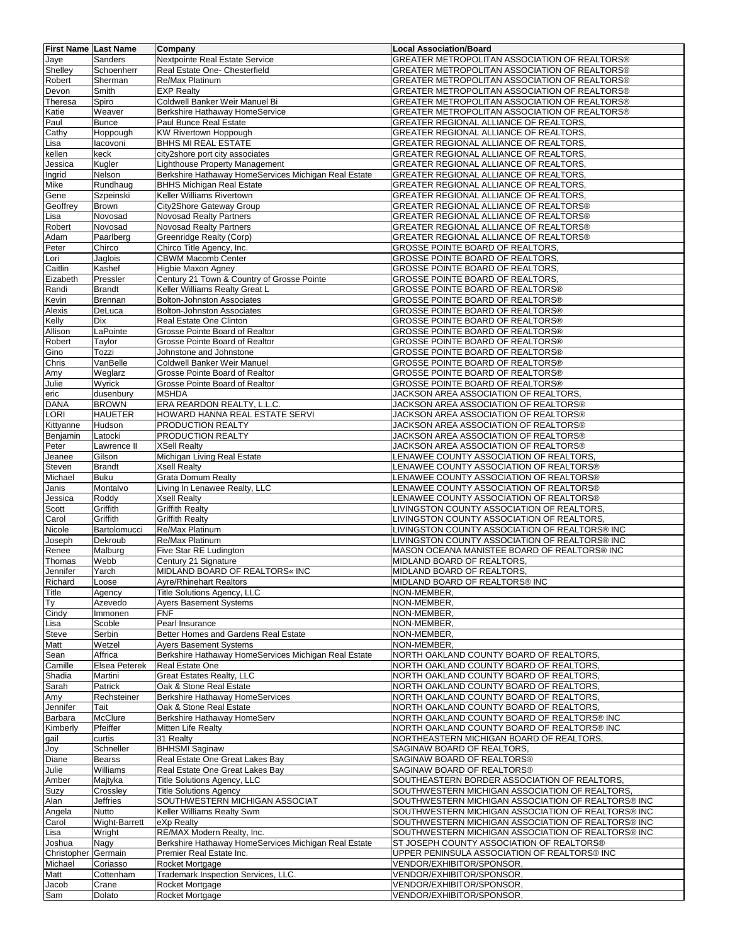| <b>First Name Last Name</b> |                            | Company                                                                               | <b>Local Association/Board</b>                                                          |
|-----------------------------|----------------------------|---------------------------------------------------------------------------------------|-----------------------------------------------------------------------------------------|
| Jaye                        | Sanders                    | Nextpointe Real Estate Service                                                        | GREATER METROPOLITAN ASSOCIATION OF REALTORS®                                           |
| Shelley                     | Schoenherr                 | Real Estate One- Chesterfield                                                         | GREATER METROPOLITAN ASSOCIATION OF REALTORS®                                           |
| Robert                      | Sherman                    | Re/Max Platinum                                                                       | GREATER METROPOLITAN ASSOCIATION OF REALTORS®                                           |
| Devon                       | Smith                      | <b>EXP Realty</b>                                                                     | GREATER METROPOLITAN ASSOCIATION OF REALTORS®                                           |
| Theresa                     | Spiro                      | Coldwell Banker Weir Manuel Bi                                                        | GREATER METROPOLITAN ASSOCIATION OF REALTORS®                                           |
| Katie                       | Weaver                     | Berkshire Hathaway HomeService                                                        | GREATER METROPOLITAN ASSOCIATION OF REALTORS®                                           |
| Paul                        | <b>Bunce</b>               | Paul Bunce Real Estate                                                                | GREATER REGIONAL ALLIANCE OF REALTORS.                                                  |
| Cathy                       | Hoppough                   | KW Rivertown Hoppough                                                                 | GREATER REGIONAL ALLIANCE OF REALTORS,                                                  |
| Lisa                        | lacovoni                   | BHHS MI REAL ESTATE                                                                   | GREATER REGIONAL ALLIANCE OF REALTORS,                                                  |
| kellen                      | keck                       | city2shore port city associates                                                       | GREATER REGIONAL ALLIANCE OF REALTORS,                                                  |
| Jessica                     | Kugler                     | Lighthouse Property Management                                                        | GREATER REGIONAL ALLIANCE OF REALTORS.                                                  |
| Ingrid                      | Nelson                     | Berkshire Hathaway HomeServices Michigan Real Estate                                  | GREATER REGIONAL ALLIANCE OF REALTORS,                                                  |
| Mike                        | Rundhaug                   | <b>BHHS Michigan Real Estate</b>                                                      | GREATER REGIONAL ALLIANCE OF REALTORS,                                                  |
| Gene                        | Szpeinski                  | Keller Williams Rivertown                                                             | GREATER REGIONAL ALLIANCE OF REALTORS,                                                  |
| Geoffrey                    | <b>Brown</b>               | City2Shore Gateway Group                                                              | GREATER REGIONAL ALLIANCE OF REALTORS®                                                  |
| Lisa                        | Novosad                    | <b>Novosad Realty Partners</b>                                                        | GREATER REGIONAL ALLIANCE OF REALTORS®                                                  |
| Robert                      | Novosad                    | <b>Novosad Realty Partners</b>                                                        | GREATER REGIONAL ALLIANCE OF REALTORS®                                                  |
| Adam                        | Paarlberg                  | Greenridge Realty (Corp)                                                              | GREATER REGIONAL ALLIANCE OF REALTORS®                                                  |
| Peter                       | Chirco                     | Chirco Title Agency, Inc.                                                             | GROSSE POINTE BOARD OF REALTORS,                                                        |
| Lori                        | Jaglois                    | <b>CBWM Macomb Center</b>                                                             | GROSSE POINTE BOARD OF REALTORS,                                                        |
| Caitlin                     | Kashef                     | Higbie Maxon Agney                                                                    | GROSSE POINTE BOARD OF REALTORS,                                                        |
| Eizabeth                    | Pressler                   | Century 21 Town & Country of Grosse Pointe                                            | <b>GROSSE POINTE BOARD OF REALTORS,</b>                                                 |
| Randi                       | <b>Brandt</b>              | Keller Williams Realty Great L                                                        | <b>GROSSE POINTE BOARD OF REALTORS®</b>                                                 |
| Kevin                       | Brennan                    | <b>Bolton-Johnston Associates</b>                                                     | <b>GROSSE POINTE BOARD OF REALTORS®</b>                                                 |
| Alexis                      | DeLuca                     | <b>Bolton-Johnston Associates</b>                                                     | <b>GROSSE POINTE BOARD OF REALTORS®</b>                                                 |
| Kelly                       | Dix                        | Real Estate One Clinton                                                               | <b>GROSSE POINTE BOARD OF REALTORS®</b>                                                 |
| Allison                     | LaPointe                   | Grosse Pointe Board of Realtor                                                        | <b>GROSSE POINTE BOARD OF REALTORS®</b>                                                 |
| Robert                      | Taylor                     | Grosse Pointe Board of Realtor                                                        | <b>GROSSE POINTE BOARD OF REALTORS®</b>                                                 |
| Gino                        | Tozzi                      | Johnstone and Johnstone                                                               | <b>GROSSE POINTE BOARD OF REALTORS®</b>                                                 |
| Chris                       | VanBelle                   | Coldwell Banker Weir Manuel                                                           | <b>GROSSE POINTE BOARD OF REALTORS®</b>                                                 |
| Amy                         | Weglarz                    | Grosse Pointe Board of Realtor                                                        | <b>GROSSE POINTE BOARD OF REALTORS®</b>                                                 |
| Julie                       | Wyrick                     | Grosse Pointe Board of Realtor                                                        | <b>GROSSE POINTE BOARD OF REALTORS®</b>                                                 |
| eric                        | dusenbury                  | <b>MSHDA</b>                                                                          | JACKSON AREA ASSOCIATION OF REALTORS,                                                   |
| <b>DANA</b>                 | <b>BROWN</b>               | ERA REARDON REALTY, L.L.C.                                                            | JACKSON AREA ASSOCIATION OF REALTORS®                                                   |
| LORI                        | <b>HAUETER</b>             | HOWARD HANNA REAL ESTATE SERVI                                                        | JACKSON AREA ASSOCIATION OF REALTORS®                                                   |
| Kittyanne                   | Hudson                     | PRODUCTION REALTY                                                                     | JACKSON AREA ASSOCIATION OF REALTORS®                                                   |
| Benjamin                    | Latocki                    | PRODUCTION REALTY                                                                     | JACKSON AREA ASSOCIATION OF REALTORS®                                                   |
| Peter                       | Lawrence II                | <b>XSell Realty</b>                                                                   | JACKSON AREA ASSOCIATION OF REALTORS®                                                   |
| Jeanee                      | Gilson                     | Michigan Living Real Estate                                                           | LENAWEE COUNTY ASSOCIATION OF REALTORS,                                                 |
| Steven                      | <b>Brandt</b>              | <b>Xsell Realty</b>                                                                   | LENAWEE COUNTY ASSOCIATION OF REALTORS®                                                 |
| Michael                     | <b>Buku</b>                | <b>Grata Domum Realty</b>                                                             | LENAWEE COUNTY ASSOCIATION OF REALTORS®                                                 |
| Janis                       | Montalvo                   | Living In Lenawee Realty, LLC                                                         | LENAWEE COUNTY ASSOCIATION OF REALTORS®                                                 |
| Jessica                     | Roddy                      | <b>Xsell Realty</b>                                                                   | LENAWEE COUNTY ASSOCIATION OF REALTORS®                                                 |
| Scott                       | Griffith                   | <b>Griffith Realty</b>                                                                | LIVINGSTON COUNTY ASSOCIATION OF REALTORS,                                              |
| Carol                       | Griffith                   | <b>Griffith Realty</b>                                                                | LIVINGSTON COUNTY ASSOCIATION OF REALTORS,                                              |
| Nicole                      | Bartolomucci               | Re/Max Platinum                                                                       | LIVINGSTON COUNTY ASSOCIATION OF REALTORS® INC                                          |
| Joseph                      | Dekroub                    | Re/Max Platinum                                                                       | LIVINGSTON COUNTY ASSOCIATION OF REALTORS® INC                                          |
| Renee                       | Malburg                    | Five Star RE Ludington                                                                | MASON OCEANA MANISTEE BOARD OF REALTORS® INC                                            |
| Thomas                      | Webb                       | Century 21 Signature                                                                  | MIDLAND BOARD OF REALTORS,                                                              |
| Jennifer                    | Yarch                      | MIDLAND BOARD OF REALTORS« INC                                                        | MIDLAND BOARD OF REALTORS,                                                              |
| Richard                     | Loose                      | Ayre/Rhinehart Realtors                                                               | MIDLAND BOARD OF REALTORS® INC                                                          |
| Title                       | Agency                     | Title Solutions Agency, LLC                                                           | NON-MEMBER.                                                                             |
| <b>Ty</b>                   | Azevedo                    | <b>Ayers Basement Systems</b>                                                         | NON-MEMBER,                                                                             |
| Cindy                       | Immonen                    | <b>FNF</b>                                                                            | NON-MEMBER,                                                                             |
| Lisa                        | Scoble                     | Pearl Insurance                                                                       | NON-MEMBER,                                                                             |
| Steve                       | Serbin                     | Better Homes and Gardens Real Estate                                                  | NON-MEMBER,                                                                             |
| Matt                        | Wetzel                     | <b>Ayers Basement Systems</b><br>Berkshire Hathaway HomeServices Michigan Real Estate | NON-MEMBER,                                                                             |
| Sean                        | Affrica                    |                                                                                       | NORTH OAKLAND COUNTY BOARD OF REALTORS,                                                 |
| Camille                     | <b>Elsea Peterek</b>       | Real Estate One                                                                       | NORTH OAKLAND COUNTY BOARD OF REALTORS,                                                 |
| Shadia                      | Martini<br>Patrick         | <b>Great Estates Realty, LLC</b><br>Oak & Stone Real Estate                           | NORTH OAKLAND COUNTY BOARD OF REALTORS,<br>NORTH OAKLAND COUNTY BOARD OF REALTORS,      |
| Sarah                       |                            |                                                                                       |                                                                                         |
| Amy                         | Rechsteiner                | Berkshire Hathaway HomeServices<br>Oak & Stone Real Estate                            | NORTH OAKLAND COUNTY BOARD OF REALTORS,<br>NORTH OAKLAND COUNTY BOARD OF REALTORS,      |
| Jennifer                    | Tait                       |                                                                                       | NORTH OAKLAND COUNTY BOARD OF REALTORS® INC                                             |
| Barbara                     | <b>McClure</b><br>Pfeiffer | Berkshire Hathaway HomeServ                                                           |                                                                                         |
| Kimberly<br>gail            | curtis                     | Mitten Life Realty<br>31 Realty                                                       | NORTH OAKLAND COUNTY BOARD OF REALTORS® INC<br>NORTHEASTERN MICHIGAN BOARD OF REALTORS, |
|                             |                            | <b>BHHSMI</b> Saginaw                                                                 |                                                                                         |
| Joy<br>Diane                | Schneller                  | Real Estate One Great Lakes Bay                                                       | SAGINAW BOARD OF REALTORS,<br>SAGINAW BOARD OF REALTORS®                                |
| Julie                       | <b>Bearss</b><br>Williams  | Real Estate One Great Lakes Bay                                                       | SAGINAW BOARD OF REALTORS®                                                              |
|                             | Majtyka                    | Title Solutions Agency, LLC                                                           | SOUTHEASTERN BORDER ASSOCIATION OF REALTORS,                                            |
| Amber<br>Suzy               | Crossley                   | <b>Title Solutions Agency</b>                                                         | SOUTHWESTERN MICHIGAN ASSOCIATION OF REALTORS,                                          |
|                             | Jeffries                   | SOUTHWESTERN MICHIGAN ASSOCIAT                                                        | SOUTHWESTERN MICHIGAN ASSOCIATION OF REALTORS® INC                                      |
| Alan                        | Nutto                      | Keller Williams Realty Swm                                                            | SOUTHWESTERN MICHIGAN ASSOCIATION OF REALTORS® INC                                      |
| Angela<br>Carol             | Wight-Barrett              | eXp Realty                                                                            | SOUTHWESTERN MICHIGAN ASSOCIATION OF REALTORS® INC                                      |
| Lisa                        | Wright                     | RE/MAX Modern Realty, Inc.                                                            | SOUTHWESTERN MICHIGAN ASSOCIATION OF REALTORS® INC                                      |
|                             | Nagy                       | Berkshire Hathaway HomeServices Michigan Real Estate                                  | ST JOSEPH COUNTY ASSOCIATION OF REALTORS®                                               |
| Joshua<br>Christopher       | Germain                    | Premier Real Estate Inc.                                                              | UPPER PENINSULA ASSOCIATION OF REALTORS® INC                                            |
| Michael                     | Coriasso                   | Rocket Mortgage                                                                       | VENDOR/EXHIBITOR/SPONSOR.                                                               |
| Matt                        | Cottenham                  | Trademark Inspection Services, LLC.                                                   | VENDOR/EXHIBITOR/SPONSOR,                                                               |
| Jacob                       | Crane                      | Rocket Mortgage                                                                       | VENDOR/EXHIBITOR/SPONSOR,                                                               |
| Sam                         | Dolato                     | Rocket Mortgage                                                                       | VENDOR/EXHIBITOR/SPONSOR,                                                               |
|                             |                            |                                                                                       |                                                                                         |